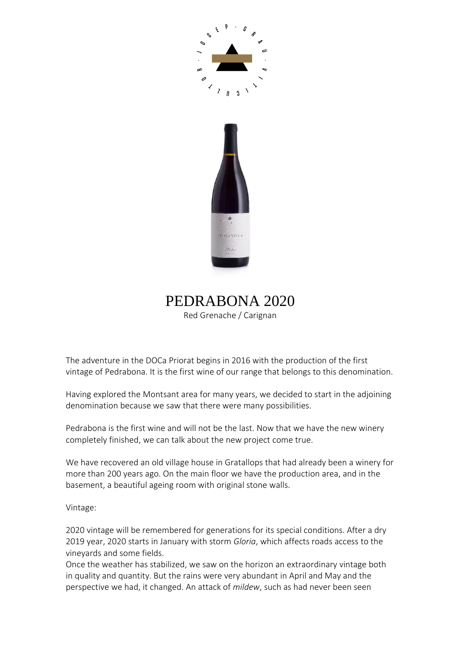



PEDRABONA 2020 Red Grenache / Carignan

The adventure in the DOCa Priorat begins in 2016 with the production of the first vintage of Pedrabona. It is the first wine of our range that belongs to this denomination.

Having explored the Montsant area for many years, we decided to start in the adjoining denomination because we saw that there were many possibilities.

Pedrabona is the first wine and will not be the last. Now that we have the new winery completely finished, we can talk about the new project come true.

We have recovered an old village house in Gratallops that had already been a winery for more than 200 years ago. On the main floor we have the production area, and in the basement, a beautiful ageing room with original stone walls.

Vintage:

2020 vintage will be remembered for generations for its special conditions. After a dry 2019 year, 2020 starts in January with storm *Gloria*, which affects roads access to the vineyards and some fields.

Once the weather has stabilized, we saw on the horizon an extraordinary vintage both in quality and quantity. But the rains were very abundant in April and May and the perspective we had, it changed. An attack of *mildew*, such as had never been seen